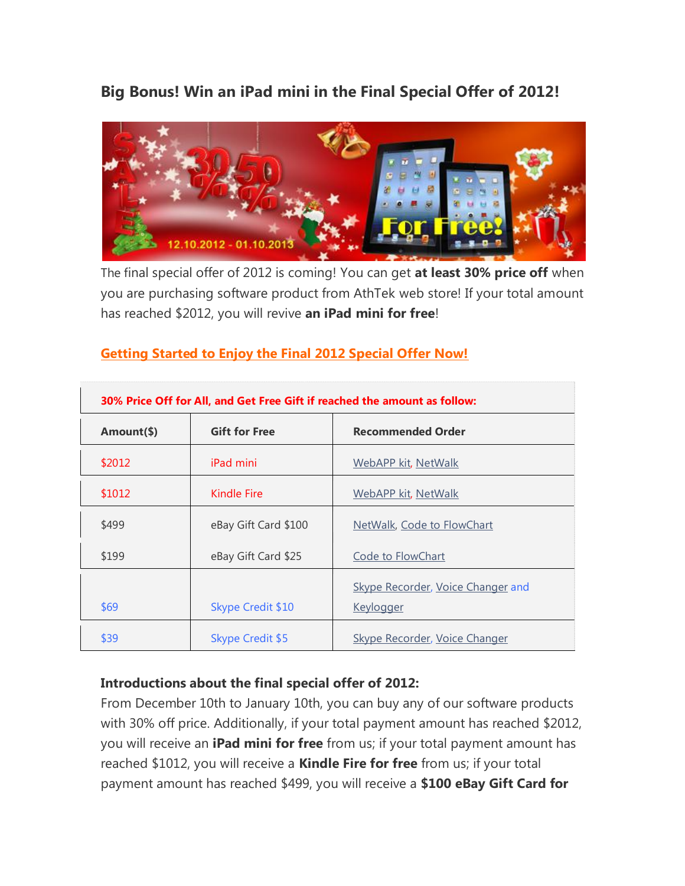**Big Bonus! Win an iPad mini in the Final Special Offer of 2012!**



The final special offer of 2012 is coming! You can get **at least 30% price off** when you are purchasing software product from AthTek web store! If your total amount has reached \$2012, you will revive **an iPad mini for free**!

| 30% Price Off for All, and Get Free Gift if reached the amount as follow: |                         |                                                       |
|---------------------------------------------------------------------------|-------------------------|-------------------------------------------------------|
| Amount(\$)                                                                | <b>Gift for Free</b>    | <b>Recommended Order</b>                              |
| \$2012                                                                    | <i>iPad mini</i>        | WebAPP kit, NetWalk                                   |
| \$1012                                                                    | Kindle Fire             | WebAPP kit, NetWalk                                   |
| \$499                                                                     | eBay Gift Card \$100    | NetWalk, Code to FlowChart                            |
| \$199                                                                     | eBay Gift Card \$25     | Code to FlowChart                                     |
| \$69                                                                      | Skype Credit \$10       | Skype Recorder, Voice Changer and<br><u>Keylogger</u> |
|                                                                           |                         |                                                       |
| \$39                                                                      | <b>Skype Credit \$5</b> | <b>Skype Recorder, Voice Changer</b>                  |

## **[Getting Started to Enjoy the Final 2012 Special Offer Now!](http://www.athtek.com/download.html)**

## **Introductions about the final special offer of 2012:**

From December 10th to January 10th, you can buy any of our software products with 30% off price. Additionally, if your total payment amount has reached \$2012, you will receive an **iPad mini for free** from us; if your total payment amount has reached \$1012, you will receive a **Kindle Fire for free** from us; if your total payment amount has reached \$499, you will receive a **\$100 eBay Gift Card for**